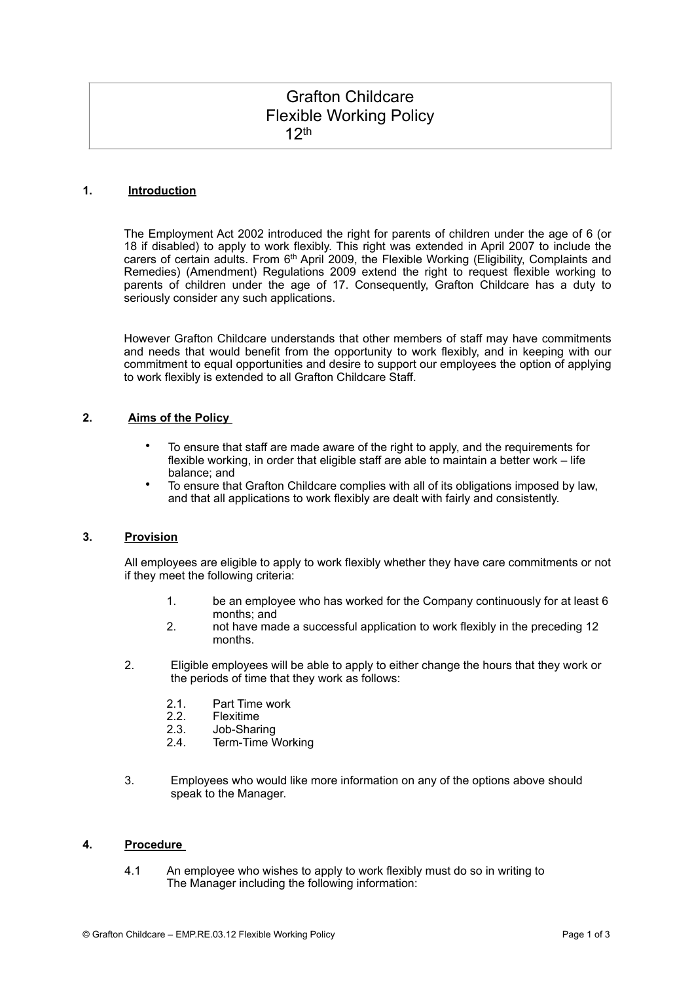# Grafton Childcare Flexible Working Policy 12th

## **1. Introduction**

The Employment Act 2002 introduced the right for parents of children under the age of 6 (or 18 if disabled) to apply to work flexibly. This right was extended in April 2007 to include the carers of certain adults. From 6<sup>th</sup> April 2009, the Flexible Working (Eligibility, Complaints and Remedies) (Amendment) Regulations 2009 extend the right to request flexible working to parents of children under the age of 17. Consequently, Grafton Childcare has a duty to seriously consider any such applications.

However Grafton Childcare understands that other members of staff may have commitments and needs that would benefit from the opportunity to work flexibly, and in keeping with our commitment to equal opportunities and desire to support our employees the option of applying to work flexibly is extended to all Grafton Childcare Staff.

## **2. Aims of the Policy**

- To ensure that staff are made aware of the right to apply, and the requirements for flexible working, in order that eligible staff are able to maintain a better work – life balance; and
- To ensure that Grafton Childcare complies with all of its obligations imposed by law, and that all applications to work flexibly are dealt with fairly and consistently.

#### **3. Provision**

All employees are eligible to apply to work flexibly whether they have care commitments or not if they meet the following criteria:

- 1. be an employee who has worked for the Company continuously for at least 6 months; and
- 2. not have made a successful application to work flexibly in the preceding 12 months.
- 2. Eligible employees will be able to apply to either change the hours that they work or the periods of time that they work as follows:
	- 2.1. Part Time work
	- 2.2. Flexitime
	- 2.3. Job-Sharing
	- 2.4. Term-Time Working
- 3. Employees who would like more information on any of the options above should speak to the Manager.

#### **4. Procedure**

4.1 An employee who wishes to apply to work flexibly must do so in writing to The Manager including the following information: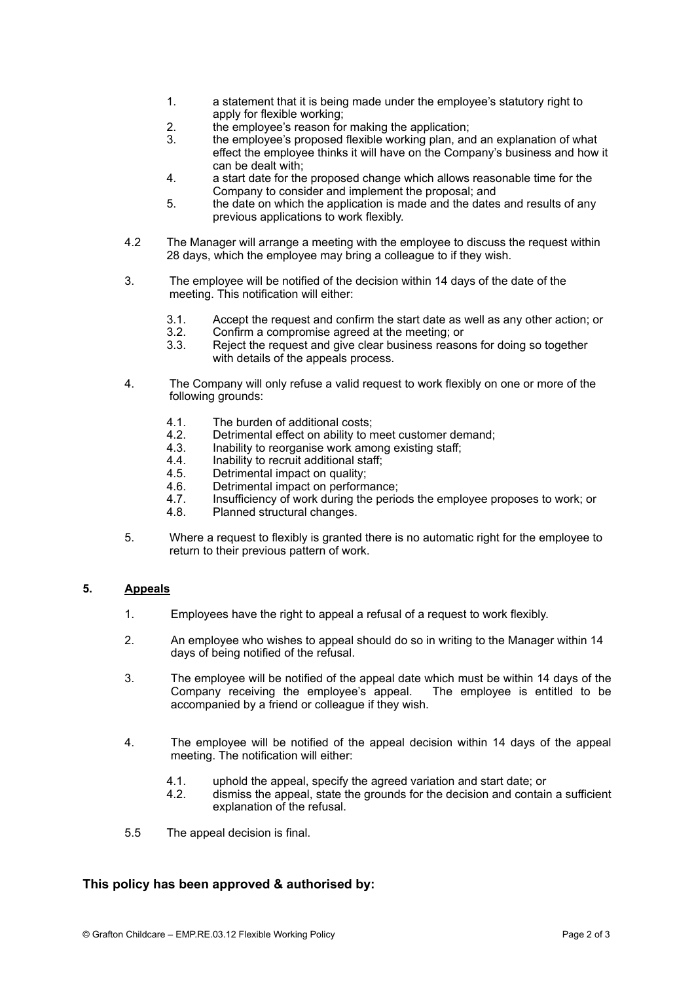- 1. a statement that it is being made under the employee's statutory right to apply for flexible working;
- 2. the employee's reason for making the application;
- 3. the employee's proposed flexible working plan, and an explanation of what effect the employee thinks it will have on the Company's business and how it can be dealt with;
- 4. a start date for the proposed change which allows reasonable time for the Company to consider and implement the proposal; and
- 5. the date on which the application is made and the dates and results of any previous applications to work flexibly.
- 4.2 The Manager will arrange a meeting with the employee to discuss the request within 28 days, which the employee may bring a colleague to if they wish.
- 3. The employee will be notified of the decision within 14 days of the date of the meeting. This notification will either:
	- 3.1. Accept the request and confirm the start date as well as any other action; or
	- 3.2. Confirm a compromise agreed at the meeting; or<br>3.3. Reject the request and give clear business reaso
	- Reject the request and give clear business reasons for doing so together with details of the appeals process.
- 4. The Company will only refuse a valid request to work flexibly on one or more of the following grounds:
	- 4.1. The burden of additional costs;
	- 4.2. Detrimental effect on ability to meet customer demand;
	- 4.3. Inability to reorganise work among existing staff;
	- 4.4. Inability to recruit additional staff;
	- 4.5. Detrimental impact on quality;
	- 4.6. Detrimental impact on performance;<br>4.7. Insufficiency of work during the perio
	- Insufficiency of work during the periods the employee proposes to work; or
	- 4.8. Planned structural changes.
- 5. Where a request to flexibly is granted there is no automatic right for the employee to return to their previous pattern of work.

#### **5. Appeals**

- 1. Employees have the right to appeal a refusal of a request to work flexibly.
- 2. An employee who wishes to appeal should do so in writing to the Manager within 14 days of being notified of the refusal.
- 3. The employee will be notified of the appeal date which must be within 14 days of the Company receiving the employee's appeal. The employee is entitled to be accompanied by a friend or colleague if they wish.
- 4. The employee will be notified of the appeal decision within 14 days of the appeal meeting. The notification will either:
	- 4.1. uphold the appeal, specify the agreed variation and start date; or
	- 4.2. dismiss the appeal, state the grounds for the decision and contain a sufficient explanation of the refusal.
- 5.5 The appeal decision is final.

## **This policy has been approved & authorised by:**